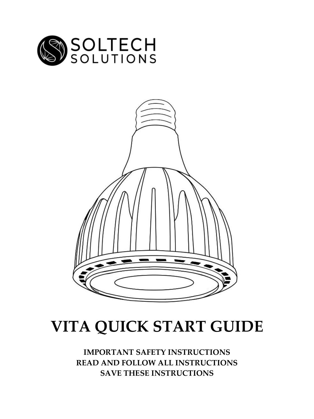



# **VITA QUICK START GUIDE**

**IMPORTANT SAFETY INSTRUCTIONS READ AND FOLLOW ALL INSTRUCTIONS SAVE THESE INSTRUCTIONS**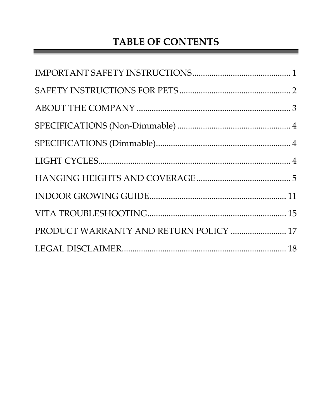### **TABLE OF CONTENTS**

| PRODUCT WARRANTY AND RETURN POLICY  17 |  |
|----------------------------------------|--|
|                                        |  |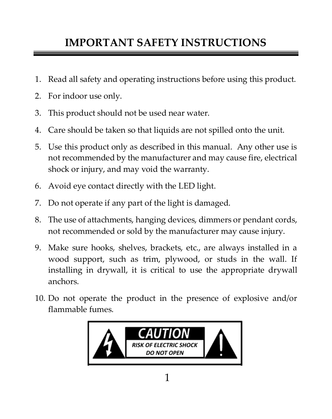### <span id="page-2-0"></span>**IMPORTANT SAFETY INSTRUCTIONS**

- 1. Read all safety and operating instructions before using this product.
- 2. For indoor use only.
- 3. This product should not be used near water.
- 4. Care should be taken so that liquids are not spilled onto the unit.
- 5. Use this product only as described in this manual. Any other use is not recommended by the manufacturer and may cause fire, electrical shock or injury, and may void the warranty.
- 6. Avoid eye contact directly with the LED light.
- 7. Do not operate if any part of the light is damaged.
- 8. The use of attachments, hanging devices, dimmers or pendant cords, not recommended or sold by the manufacturer may cause injury.
- 9. Make sure hooks, shelves, brackets, etc., are always installed in a wood support, such as trim, plywood, or studs in the wall. If installing in drywall, it is critical to use the appropriate drywall anchors.
- 10. Do not operate the product in the presence of explosive and/or flammable fumes.

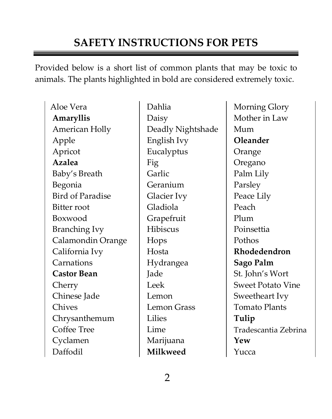### <span id="page-3-0"></span>**SAFETY INSTRUCTIONS FOR PETS**

Provided below is a short list of common plants that may be toxic to animals. The plants highlighted in bold are considered extremely toxic.

Aloe Vera **Dahlia** Morning Glory **Amaryllis** Daisy Mother in Law American Holly | Deadly Nightshade | Mum Apple English Ivy **Oleander** Apricot Eucalyptus Orange Azalea Fig Oregano Baby's Breath Garlic Palm Lily Begonia Geranium Parsley Bird of Paradise Glacier Ivy Peace Lily Bitter root Gladiola Peach Boxwood Grapefruit Plum Branching Ivy Hibiscus Poinsettia Calamondin Orange Hops Pothos California Ivy **Rhodedendron Rhodedendron** Carnations Hydrangea **Sago Palm Castor Bean** Jade St. John's Wort Cherry Leek Sweet Potato Vine Chinese Jade Lemon Sweetheart Ivy Chives Lemon Grass Tomato Plants Chrysanthemum Lilies **Tulip** Cyclamen Marijuana **Yew** Daffodil **Milkweed** Yucca

Coffee Tree Lime Lime Tradescantia Zebrina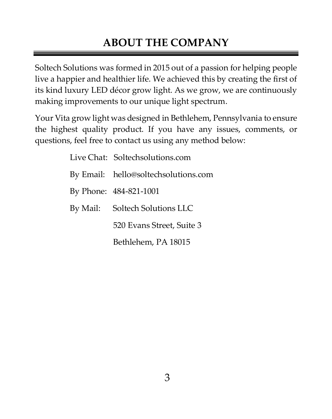### <span id="page-4-0"></span>**ABOUT THE COMPANY**

Soltech Solutions was formed in 2015 out of a passion for helping people live a happier and healthier life. We achieved this by creating the first of its kind luxury LED décor grow light. As we grow, we are continuously making improvements to our unique light spectrum.

Your Vita grow light was designed in Bethlehem, Pennsylvania to ensure the highest quality product. If you have any issues, comments, or questions, feel free to contact us using any method below:

> Live Chat: Soltechsolutions.com By Email: hello@soltechsolutions.com By Phone: 484-821-1001 By Mail: Soltech Solutions LLC 520 Evans Street, Suite 3 Bethlehem, PA 18015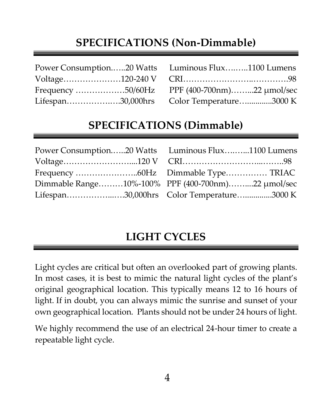### **SPECIFICATIONS (Non-Dimmable)**

<span id="page-5-0"></span>

| Power Consumption20 Watts Luminous Flux1100 Lumens |
|----------------------------------------------------|
|                                                    |
|                                                    |
| Lifespan30,000hrs Color Temperature3000 K          |

### **SPECIFICATIONS (Dimmable)**

<span id="page-5-1"></span>

| Power Consumption20 Watts Luminous Flux1100 Lumens |
|----------------------------------------------------|
|                                                    |
|                                                    |
| Dimmable Range10%-100% PPF (400-700nm)22 µmol/sec  |
| Lifespan30,000hrs Color Temperature3000 K          |

### <span id="page-5-2"></span>**LIGHT CYCLES**

Light cycles are critical but often an overlooked part of growing plants. In most cases, it is best to mimic the natural light cycles of the plant's original geographical location. This typically means 12 to 16 hours of light. If in doubt, you can always mimic the sunrise and sunset of your own geographical location. Plants should not be under 24 hours of light.

We highly recommend the use of an electrical 24-hour timer to create a repeatable light cycle.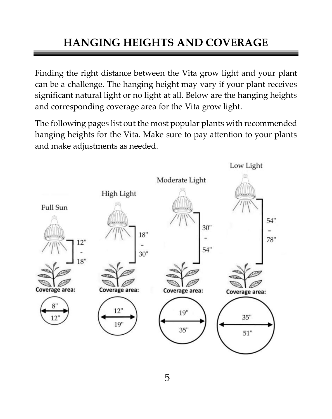# <span id="page-6-0"></span>**HANGING HEIGHTS AND COVERAGE**

Finding the right distance between the Vita grow light and your plant can be a challenge. The hanging height may vary if your plant receives significant natural light or no light at all. Below are the hanging heights and corresponding coverage area for the Vita grow light.

The following pages list out the most popular plants with recommended hanging heights for the Vita. Make sure to pay attention to your plants and make adjustments as needed.

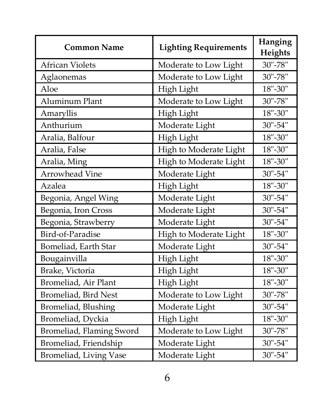| <b>Common Name</b>       | <b>Lighting Requirements</b> | Hanging<br>Heights |
|--------------------------|------------------------------|--------------------|
| <b>African Violets</b>   | Moderate to Low Light        | 30"-78"            |
| Aglaonemas               | Moderate to Low Light        | 30"-78"            |
| Aloe                     | High Light                   | 18"-30"            |
| Aluminum Plant           | Moderate to Low Light        | 30"-78"            |
| Amaryllis                | High Light                   | $18" - 30"$        |
| Anthurium                | Moderate Light               | 30"-54"            |
| Aralia, Balfour          | High Light                   | 18"-30"            |
| Aralia, False            | High to Moderate Light       | 18"-30"            |
| Aralia, Ming             | High to Moderate Light       | 18"-30"            |
| Arrowhead Vine           | Moderate Light               | 30"-54"            |
| Azalea                   | High Light                   | $18 - 30$ "        |
| Begonia, Angel Wing      | Moderate Light               | 30"-54"            |
| Begonia, Iron Cross      | Moderate Light               | 30"-54"            |
| Begonia, Strawberry      | Moderate Light               | 30"-54"            |
| Bird-of-Paradise         | High to Moderate Light       | $18" - 30"$        |
| Bomeliad, Earth Star     | Moderate Light               | 30"-54"            |
| Bougainvilla             | High Light                   | 18"-30"            |
| Brake, Victoria          | High Light                   | 18"-30"            |
| Bromeliad, Air Plant     | High Light                   | 18"-30"            |
| Bromeliad, Bird Nest     | Moderate to Low Light        | 30"-78"            |
| Bromeliad, Blushing      | Moderate Light               | 30"-54"            |
| Bromeliad, Dyckia        | High Light                   | 18"-30"            |
| Bromeliad, Flaming Sword | Moderate to Low Light        | 30"-78"            |
| Bromeliad, Friendship    | Moderate Light               | 30"-54"            |
| Bromeliad, Living Vase   | Moderate Light               | 30"-54"            |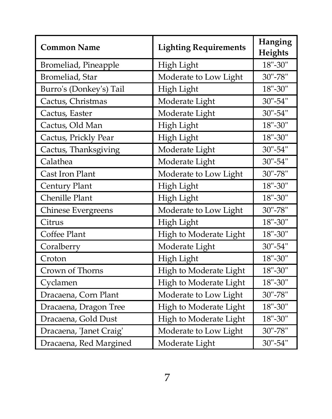| <b>Common Name</b>      | <b>Lighting Requirements</b> | Hanging<br>Heights |
|-------------------------|------------------------------|--------------------|
| Bromeliad, Pineapple    | High Light                   | 18"-30"            |
| Bromeliad, Star         | Moderate to Low Light        | 30"-78"            |
| Burro's (Donkey's) Tail | High Light                   | $18" - 30"$        |
| Cactus, Christmas       | Moderate Light               | 30"-54"            |
| Cactus, Easter          | Moderate Light               | 30"-54"            |
| Cactus, Old Man         | High Light                   | 18"-30"            |
| Cactus, Prickly Pear    | High Light                   | $18" - 30"$        |
| Cactus, Thanksgiving    | Moderate Light               | 30"-54"            |
| Calathea                | Moderate Light               | 30"-54"            |
| Cast Iron Plant         | Moderate to Low Light        | 30"-78"            |
| Century Plant           | High Light                   | 18"-30"            |
| Chenille Plant          | High Light                   | $18" - 30"$        |
| Chinese Evergreens      | Moderate to Low Light        | 30"-78"            |
| Citrus                  | High Light                   | $18" - 30"$        |
| Coffee Plant            | High to Moderate Light       | 18"-30"            |
| Coralberry              | Moderate Light               | 30"-54"            |
| Croton                  | High Light                   | 18"-30"            |
| Crown of Thorns         | High to Moderate Light       | 18"-30"            |
| Cyclamen                | High to Moderate Light       | 18"-30"            |
| Dracaena, Corn Plant    | Moderate to Low Light        | 30"-78"            |
| Dracaena, Dragon Tree   | High to Moderate Light       | $18" - 30"$        |
| Dracaena, Gold Dust     | High to Moderate Light       | $18" - 30"$        |
| Dracaena, 'Janet Craig' | Moderate to Low Light        | 30"-78"            |
| Dracaena, Red Margined  | Moderate Light               | 30"-54"            |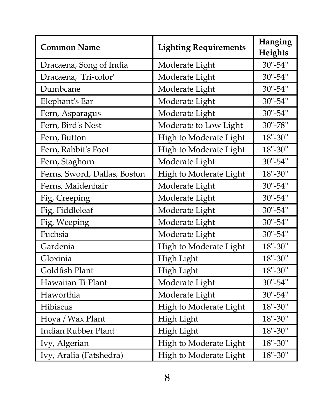| <b>Common Name</b>           | <b>Lighting Requirements</b> | Hanging<br>Heights |
|------------------------------|------------------------------|--------------------|
| Dracaena, Song of India      | Moderate Light               | 30"-54"            |
| Dracaena, 'Tri-color'        | Moderate Light               | 30"-54"            |
| Dumbcane                     | Moderate Light               | 30"-54"            |
| Elephant's Ear               | Moderate Light               | 30"-54"            |
| Fern, Asparagus              | Moderate Light               | 30"-54"            |
| Fern, Bird's Nest            | Moderate to Low Light        | 30"-78"            |
| Fern, Button                 | High to Moderate Light       | 18"-30"            |
| Fern, Rabbit's Foot          | High to Moderate Light       | 18"-30"            |
| Fern, Staghorn               | Moderate Light               | 30"-54"            |
| Ferns, Sword, Dallas, Boston | High to Moderate Light       | 18"-30"            |
| Ferns, Maidenhair            | Moderate Light               | 30"-54"            |
| Fig, Creeping                | Moderate Light               | 30"-54"            |
| Fig, Fiddleleaf              | Moderate Light               | 30"-54"            |
| Fig, Weeping                 | Moderate Light               | 30"-54"            |
| Fuchsia                      | Moderate Light               | 30"-54"            |
| Gardenia                     | High to Moderate Light       | 18"-30"            |
| Gloxinia                     | High Light                   | 18"-30"            |
| Goldfish Plant               | High Light                   | 18"-30"            |
| Hawaiian Ti Plant            | Moderate Light               | 30"-54"            |
| Haworthia                    | Moderate Light               | 30"-54"            |
| Hibiscus                     | High to Moderate Light       | $18" - 30"$        |
| Hoya / Wax Plant             | High Light                   | 18"-30"            |
| Indian Rubber Plant          | High Light                   | 18"-30"            |
| Ivy, Algerian                | High to Moderate Light       | $18" - 30"$        |
| Ivy, Aralia (Fatshedra)      | High to Moderate Light       | 18"-30"            |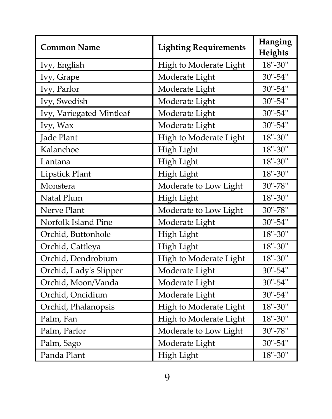| <b>Common Name</b>       | <b>Lighting Requirements</b> | Hanging<br>Heights |
|--------------------------|------------------------------|--------------------|
| Ivy, English             | High to Moderate Light       | 18"-30"            |
| Ivy, Grape               | Moderate Light               | 30"-54"            |
| Ivy, Parlor              | Moderate Light               | 30"-54"            |
| Ivy, Swedish             | Moderate Light               | 30"-54"            |
| Ivy, Variegated Mintleaf | Moderate Light               | 30"-54"            |
| Ivy, Wax                 | Moderate Light               | 30"-54"            |
| <b>Jade Plant</b>        | High to Moderate Light       | 18"-30"            |
| Kalanchoe                | High Light                   | 18"-30"            |
| Lantana                  | High Light                   | 18"-30"            |
| Lipstick Plant           | High Light                   | 18"-30"            |
| Monstera                 | Moderate to Low Light        | 30"-78"            |
| Natal Plum               | High Light                   | 18"-30"            |
| Nerve Plant              | Moderate to Low Light        | 30"-78"            |
| Norfolk Island Pine      | Moderate Light               | 30"-54"            |
| Orchid, Buttonhole       | High Light                   | 18"-30"            |
| Orchid, Cattleya         | High Light                   | 18"-30"            |
| Orchid, Dendrobium       | High to Moderate Light       | 18"-30"            |
| Orchid, Lady's Slipper   | Moderate Light               | 30"-54"            |
| Orchid, Moon/Vanda       | Moderate Light               | 30"-54"            |
| Orchid, Oncidium         | Moderate Light               | 30"-54"            |
| Orchid, Phalanopsis      | High to Moderate Light       | $18" - 30"$        |
| Palm, Fan                | High to Moderate Light       | 18"-30"            |
| Palm, Parlor             | Moderate to Low Light        | 30"-78"            |
| Palm, Sago               | Moderate Light               | 30"-54"            |
| Panda Plant              | High Light                   | $18" - 30"$        |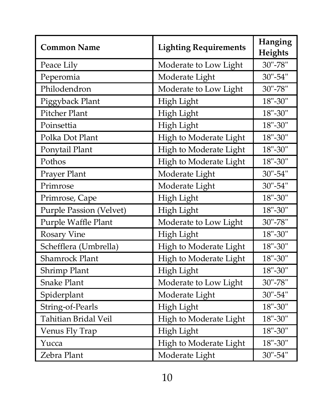| <b>Common Name</b>      | <b>Lighting Requirements</b> | Hanging<br>Heights |
|-------------------------|------------------------------|--------------------|
| Peace Lily              | Moderate to Low Light        | 30"-78"            |
| Peperomia               | Moderate Light               | 30"-54"            |
| Philodendron            | Moderate to Low Light        | 30"-78"            |
| Piggyback Plant         | High Light                   | 18"-30"            |
| Pitcher Plant           | High Light                   | 18"-30"            |
| Poinsettia              | High Light                   | 18"-30"            |
| Polka Dot Plant         | High to Moderate Light       | 18"-30"            |
| Ponytail Plant          | High to Moderate Light       | 18"-30"            |
| Pothos                  | High to Moderate Light       | $18" - 30"$        |
| Prayer Plant            | Moderate Light               | 30"-54"            |
| Primrose                | Moderate Light               | $30 - 54$ "        |
| Primrose, Cape          | High Light                   | 18"-30"            |
| Purple Passion (Velvet) | High Light                   | 18"-30"            |
| Purple Waffle Plant     | Moderate to Low Light        | 30"-78"            |
| Rosary Vine             | High Light                   | 18"-30"            |
| Schefflera (Umbrella)   | High to Moderate Light       | 18"-30"            |
| <b>Shamrock Plant</b>   | High to Moderate Light       | 18"-30"            |
| Shrimp Plant            | High Light                   | 18"-30"            |
| <b>Snake Plant</b>      | Moderate to Low Light        | 30"-78"            |
| Spiderplant             | Moderate Light               | 30"-54"            |
| String-of-Pearls        | High Light                   | 18"-30"            |
| Tahitian Bridal Veil    | High to Moderate Light       | 18"-30"            |
| Venus Fly Trap          | High Light                   | 18"-30"            |
| Yucca                   | High to Moderate Light       | $18" - 30"$        |
| Zebra Plant             | Moderate Light               | 30"-54"            |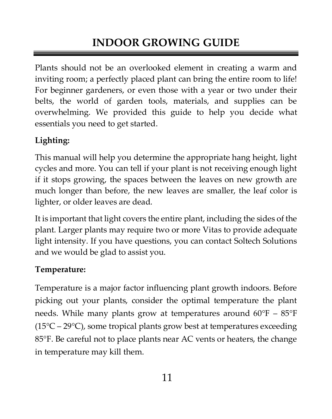# <span id="page-12-0"></span>**INDOOR GROWING GUIDE**

Plants should not be an overlooked element in creating a warm and inviting room; a perfectly placed plant can bring the entire room to life! For beginner gardeners, or even those with a year or two under their belts, the world of garden tools, materials, and supplies can be overwhelming. We provided this guide to help you decide what essentials you need to get started.

#### **Lighting:**

This manual will help you determine the appropriate hang height, light cycles and more. You can tell if your plant is not receiving enough light if it stops growing, the spaces between the leaves on new growth are much longer than before, the new leaves are smaller, the leaf color is lighter, or older leaves are dead.

It is important that light covers the entire plant, including the sides of the plant. Larger plants may require two or more Vitas to provide adequate light intensity. If you have questions, you can contact Soltech Solutions and we would be glad to assist you.

#### **Temperature:**

Temperature is a major factor influencing plant growth indoors. Before picking out your plants, consider the optimal temperature the plant needs. While many plants grow at temperatures around 60°F – 85°F  $(15^{\circ}C - 29^{\circ}C)$ , some tropical plants grow best at temperatures exceeding 85°F. Be careful not to place plants near AC vents or heaters, the change in temperature may kill them.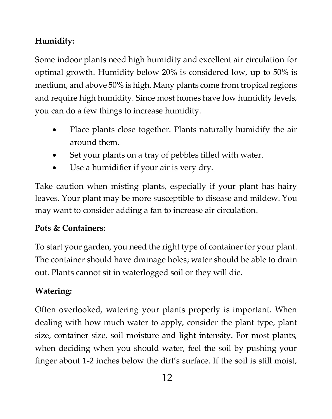#### **Humidity:**

Some indoor plants need high humidity and excellent air circulation for optimal growth. Humidity below 20% is considered low, up to 50% is medium, and above 50% is high. Many plants come from tropical regions and require high humidity. Since most homes have low humidity levels, you can do a few things to increase humidity.

- Place plants close together. Plants naturally humidify the air around them.
- Set your plants on a tray of pebbles filled with water.
- Use a humidifier if your air is very dry.

Take caution when misting plants, especially if your plant has hairy leaves. Your plant may be more susceptible to disease and mildew. You may want to consider adding a fan to increase air circulation.

#### **Pots & Containers:**

To start your garden, you need the right type of container for your plant. The container should have drainage holes; water should be able to drain out. Plants cannot sit in waterlogged soil or they will die.

#### **Watering:**

Often overlooked, watering your plants properly is important. When dealing with how much water to apply, consider the plant type, plant size, container size, soil moisture and light intensity. For most plants, when deciding when you should water, feel the soil by pushing your finger about 1-2 inches below the dirt's surface. If the soil is still moist,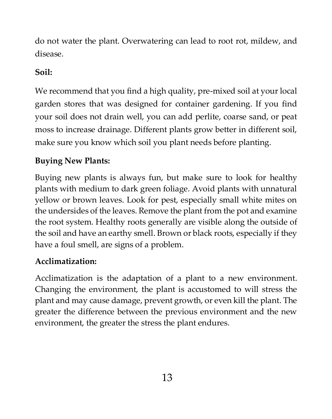do not water the plant. Overwatering can lead to root rot, mildew, and disease.

#### **Soil:**

We recommend that you find a high quality, pre-mixed soil at your local garden stores that was designed for container gardening. If you find your soil does not drain well, you can add perlite, coarse sand, or peat moss to increase drainage. Different plants grow better in different soil, make sure you know which soil you plant needs before planting.

#### **Buying New Plants:**

Buying new plants is always fun, but make sure to look for healthy plants with medium to dark green foliage. Avoid plants with unnatural yellow or brown leaves. Look for pest, especially small white mites on the undersides of the leaves. Remove the plant from the pot and examine the root system. Healthy roots generally are visible along the outside of the soil and have an earthy smell. Brown or black roots, especially if they have a foul smell, are signs of a problem.

#### **Acclimatization:**

Acclimatization is the adaptation of a plant to a new environment. Changing the environment, the plant is accustomed to will stress the plant and may cause damage, prevent growth, or even kill the plant. The greater the difference between the previous environment and the new environment, the greater the stress the plant endures.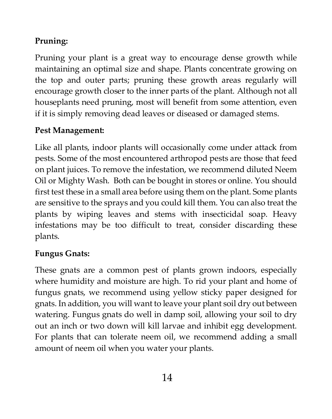#### **Pruning:**

Pruning your plant is a great way to encourage dense growth while maintaining an optimal size and shape. Plants concentrate growing on the top and outer parts; pruning these growth areas regularly will encourage growth closer to the inner parts of the plant. Although not all houseplants need pruning, most will benefit from some attention, even if it is simply removing dead leaves or diseased or damaged stems.

#### **Pest Management:**

Like all plants, indoor plants will occasionally come under attack from pests. Some of the most encountered arthropod pests are those that feed on plant juices. To remove the infestation, we recommend diluted Neem Oil or Mighty Wash. Both can be bought in stores or online. You should first test these in a small area before using them on the plant. Some plants are sensitive to the sprays and you could kill them. You can also treat the plants by wiping leaves and stems with insecticidal soap. Heavy infestations may be too difficult to treat, consider discarding these plants.

#### **Fungus Gnats:**

These gnats are a common pest of plants grown indoors, especially where humidity and moisture are high. To rid your plant and home of fungus gnats, we recommend using yellow sticky paper designed for gnats. In addition, you will want to leave your plant soil dry out between watering. Fungus gnats do well in damp soil, allowing your soil to dry out an inch or two down will kill larvae and inhibit egg development. For plants that can tolerate neem oil, we recommend adding a small amount of neem oil when you water your plants.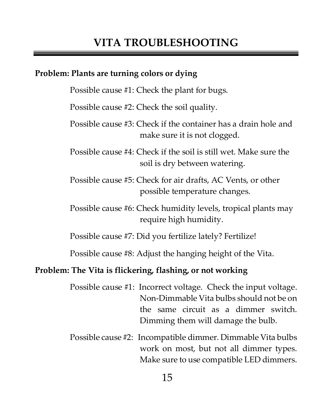### <span id="page-16-0"></span>**VITA TROUBLESHOOTING**

#### **Problem: Plants are turning colors or dying**

Possible cause #1: Check the plant for bugs.

Possible cause #2: Check the soil quality.

Possible cause #3: Check if the container has a drain hole and make sure it is not clogged.

Possible cause #4: Check if the soil is still wet. Make sure the soil is dry between watering.

Possible cause #5: Check for air drafts, AC Vents, or other possible temperature changes.

Possible cause #6: Check humidity levels, tropical plants may require high humidity.

Possible cause #7: Did you fertilize lately? Fertilize!

Possible cause #8: Adjust the hanging height of the Vita.

#### **Problem: The Vita is flickering, flashing, or not working**

Possible cause #1: Incorrect voltage. Check the input voltage. Non-Dimmable Vita bulbs should not be on the same circuit as a dimmer switch. Dimming them will damage the bulb.

Possible cause #2: Incompatible dimmer. Dimmable Vita bulbs work on most, but not all dimmer types. Make sure to use compatible LED dimmers.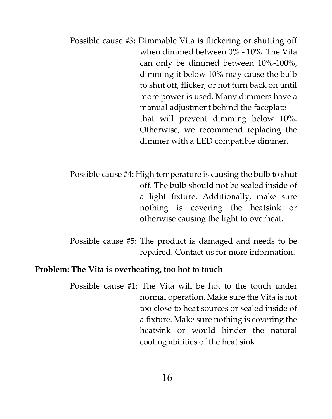- Possible cause #3: Dimmable Vita is flickering or shutting off when dimmed between 0% - 10%. The Vita can only be dimmed between 10%-100%, dimming it below 10% may cause the bulb to shut off, flicker, or not turn back on until more power is used. Many dimmers have a manual adjustment behind the faceplate that will prevent dimming below 10%. Otherwise, we recommend replacing the dimmer with a LED compatible dimmer.
- Possible cause #4: High temperature is causing the bulb to shut off. The bulb should not be sealed inside of a light fixture. Additionally, make sure nothing is covering the heatsink or otherwise causing the light to overheat.
- Possible cause #5: The product is damaged and needs to be repaired. Contact us for more information.

#### **Problem: The Vita is overheating, too hot to touch**

Possible cause #1: The Vita will be hot to the touch under normal operation. Make sure the Vita is not too close to heat sources or sealed inside of a fixture. Make sure nothing is covering the heatsink or would hinder the natural cooling abilities of the heat sink.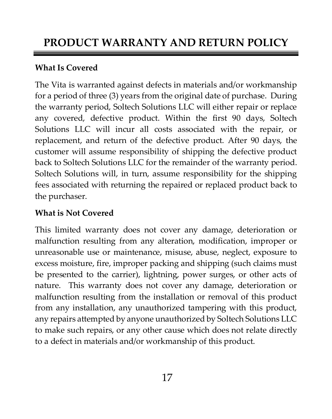#### <span id="page-18-0"></span>**What Is Covered**

The Vita is warranted against defects in materials and/or workmanship for a period of three (3) years from the original date of purchase. During the warranty period, Soltech Solutions LLC will either repair or replace any covered, defective product. Within the first 90 days, Soltech Solutions LLC will incur all costs associated with the repair, or replacement, and return of the defective product. After 90 days, the customer will assume responsibility of shipping the defective product back to Soltech Solutions LLC for the remainder of the warranty period. Soltech Solutions will, in turn, assume responsibility for the shipping fees associated with returning the repaired or replaced product back to the purchaser.

#### **What is Not Covered**

This limited warranty does not cover any damage, deterioration or malfunction resulting from any alteration, modification, improper or unreasonable use or maintenance, misuse, abuse, neglect, exposure to excess moisture, fire, improper packing and shipping (such claims must be presented to the carrier), lightning, power surges, or other acts of nature. This warranty does not cover any damage, deterioration or malfunction resulting from the installation or removal of this product from any installation, any unauthorized tampering with this product, any repairs attempted by anyone unauthorized by Soltech Solutions LLC to make such repairs, or any other cause which does not relate directly to a defect in materials and/or workmanship of this product.